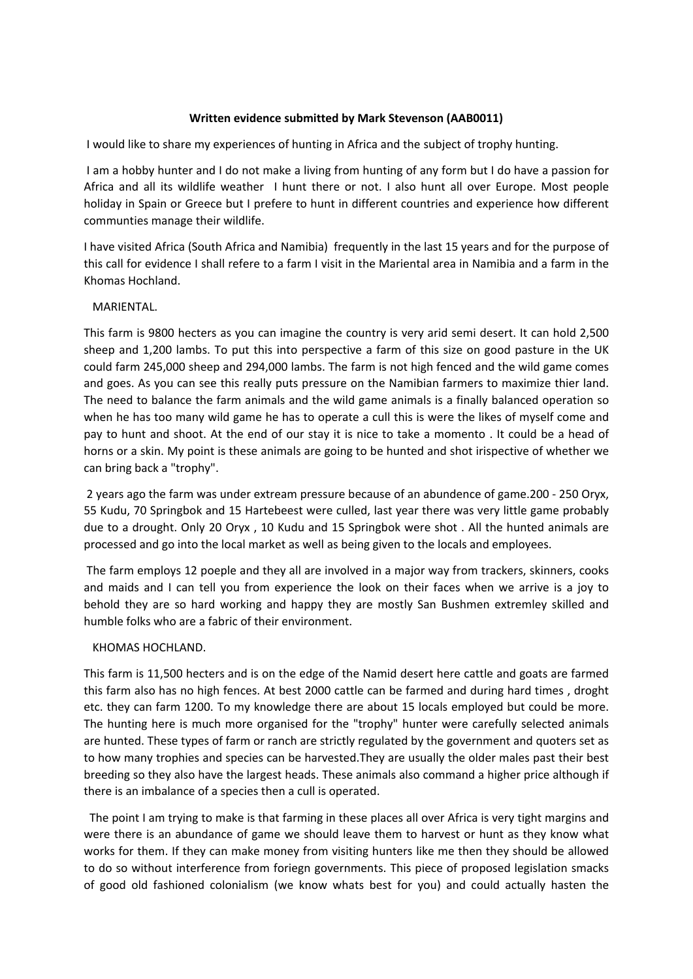## **Written evidence submitted by Mark Stevenson (AAB0011)**

I would like to share my experiences of hunting in Africa and the subject of trophy hunting.

I am a hobby hunter and I do not make a living from hunting of any form but I do have a passion for Africa and all its wildlife weather I hunt there or not. I also hunt all over Europe. Most people holiday in Spain or Greece but I prefere to hunt in different countries and experience how different communties manage their wildlife.

I have visited Africa (South Africa and Namibia) frequently in the last 15 years and for the purpose of this call for evidence I shall refere to a farm I visit in the Mariental area in Namibia and a farm in the Khomas Hochland.

## MARIENTAL.

This farm is 9800 hecters as you can imagine the country is very arid semi desert. It can hold 2,500 sheep and 1,200 lambs. To put this into perspective a farm of this size on good pasture in the UK could farm 245,000 sheep and 294,000 lambs. The farm is not high fenced and the wild game comes and goes. As you can see this really puts pressure on the Namibian farmers to maximize thier land. The need to balance the farm animals and the wild game animals is a finally balanced operation so when he has too many wild game he has to operate a cull this is were the likes of myself come and pay to hunt and shoot. At the end of our stay it is nice to take a momento . It could be a head of horns or a skin. My point is these animals are going to be hunted and shot irispective of whether we can bring back a "trophy".

2 years ago the farm was under extream pressure because of an abundence of game.200 - 250 Oryx, 55 Kudu, 70 Springbok and 15 Hartebeest were culled, last year there was very little game probably due to a drought. Only 20 Oryx , 10 Kudu and 15 Springbok were shot . All the hunted animals are processed and go into the local market as well as being given to the locals and employees.

The farm employs 12 poeple and they all are involved in a major way from trackers, skinners, cooks and maids and I can tell you from experience the look on their faces when we arrive is a joy to behold they are so hard working and happy they are mostly San Bushmen extremley skilled and humble folks who are a fabric of their environment.

## KHOMAS HOCHLAND.

This farm is 11,500 hecters and is on the edge of the Namid desert here cattle and goats are farmed this farm also has no high fences. At best 2000 cattle can be farmed and during hard times , droght etc. they can farm 1200. To my knowledge there are about 15 locals employed but could be more. The hunting here is much more organised for the "trophy" hunter were carefully selected animals are hunted. These types of farm or ranch are strictly regulated by the government and quoters set as to how many trophies and species can be harvested.They are usually the older males past their best breeding so they also have the largest heads. These animals also command a higher price although if there is an imbalance of a species then a cull is operated.

 The point I am trying to make is that farming in these places all over Africa is very tight margins and were there is an abundance of game we should leave them to harvest or hunt as they know what works for them. If they can make money from visiting hunters like me then they should be allowed to do so without interference from foriegn governments. This piece of proposed legislation smacks of good old fashioned colonialism (we know whats best for you) and could actually hasten the